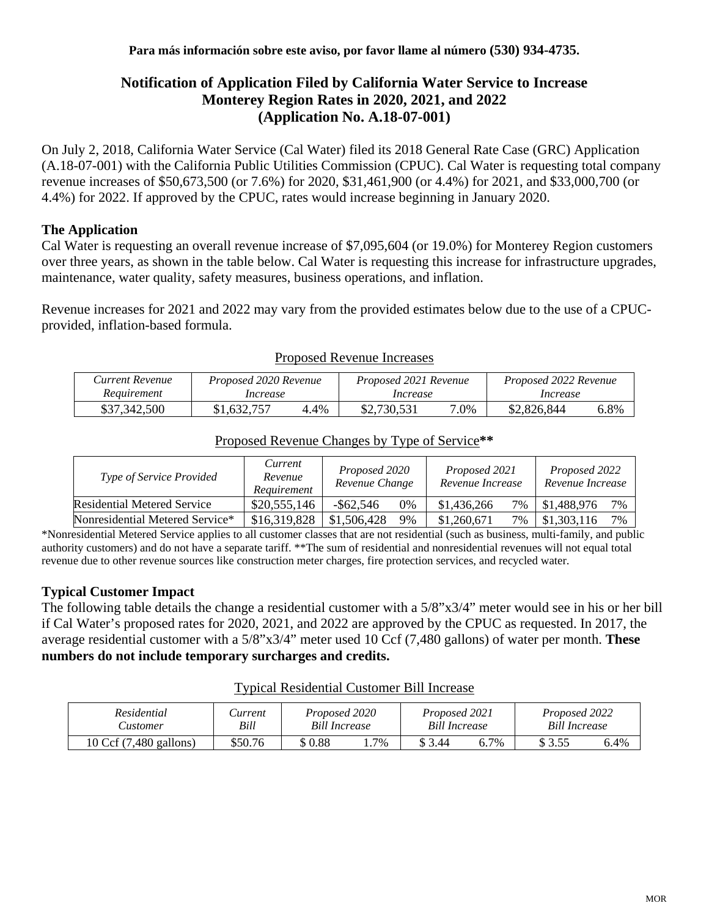# **Notification of Application Filed by California Water Service to Increase Monterey Region Rates in 2020, 2021, and 2022 (Application No. A.18-07-001)**

On July 2, 2018, California Water Service (Cal Water) filed its 2018 General Rate Case (GRC) Application (A.18-07-001) with the California Public Utilities Commission (CPUC). Cal Water is requesting total company revenue increases of \$50,673,500 (or 7.6%) for 2020, \$31,461,900 (or 4.4%) for 2021, and \$33,000,700 (or 4.4%) for 2022. If approved by the CPUC, rates would increase beginning in January 2020.

## **The Application**

Cal Water is requesting an overall revenue increase of \$7,095,604 (or 19.0%) for Monterey Region customers over three years, as shown in the table below. Cal Water is requesting this increase for infrastructure upgrades, maintenance, water quality, safety measures, business operations, and inflation.

Revenue increases for 2021 and 2022 may vary from the provided estimates below due to the use of a CPUCprovided, inflation-based formula.

| Current Revenue | Proposed 2020 Revenue |      | Proposed 2021 Revenue |      | Proposed 2022 Revenue |      |  |
|-----------------|-----------------------|------|-----------------------|------|-----------------------|------|--|
| Requirement     | Increase              |      | Increase              |      | Increase              |      |  |
| \$37,342,500    | \$1,632,757           | 4.4% | \$2,730,531           | 7.0% | \$2,826,844           | 6.8% |  |

#### Proposed Revenue Increases

#### Proposed Revenue Changes by Type of Service**\*\***

| <i>Type of Service Provided</i>    | Current<br>Revenue<br>Requirement | Proposed 2020<br>Revenue Change |    | Proposed 2021<br>Revenue Increase |       | Proposed 2022<br>Revenue Increase |    |
|------------------------------------|-----------------------------------|---------------------------------|----|-----------------------------------|-------|-----------------------------------|----|
| <b>Residential Metered Service</b> | \$20,555,146                      | $-$ \$62.546                    | 0% | \$1,436,266                       | 7%    | \$1,488,976                       | 7% |
| Nonresidential Metered Service*    | \$16,319,828                      | \$1,506,428                     | 9% | \$1,260,671                       | $7\%$ | \$1,303,116                       | 7% |

\*Nonresidential Metered Service applies to all customer classes that are not residential (such as business, multi-family, and public authority customers) and do not have a separate tariff. \*\*The sum of residential and nonresidential revenues will not equal total revenue due to other revenue sources like construction meter charges, fire protection services, and recycled water.

### **Typical Customer Impact**

The following table details the change a residential customer with a 5/8"x3/4" meter would see in his or her bill if Cal Water's proposed rates for 2020, 2021, and 2022 are approved by the CPUC as requested. In 2017, the average residential customer with a 5/8"x3/4" meter used 10 Ccf (7,480 gallons) of water per month. **These numbers do not include temporary surcharges and credits.**

| Residential<br>Customer | <i>Current</i><br>Bill | Proposed 2020<br><b>Bill Increase</b> |        | Proposed 2021<br>Bill Increase |      | Proposed 2022<br><b>Bill Increase</b> |      |
|-------------------------|------------------------|---------------------------------------|--------|--------------------------------|------|---------------------------------------|------|
| 10 Ccf (7,480 gallons)  | \$50.76                | \$0.88                                | $.7\%$ | \$ 3.44                        | 6.7% | \$ 3.55                               | 6.4% |

#### Typical Residential Customer Bill Increase